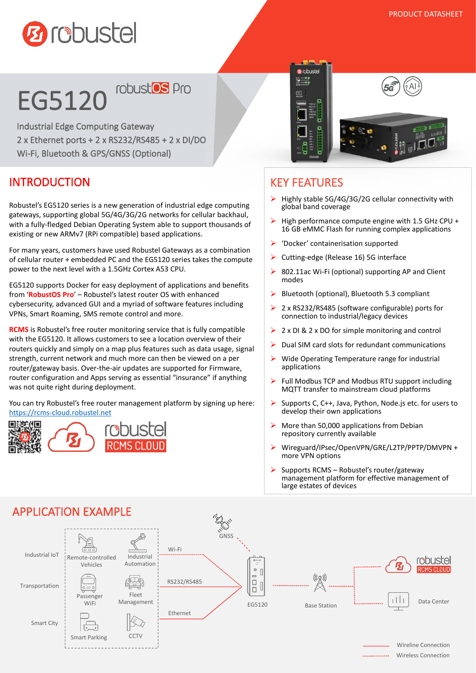

# EG5120<sup>robustos pro</sup>

' Wi-Fi, Bluetooth & GPS/GNSS (Optional) Industrial Edge Computing Gateway 2 x Ethernet ports + 2 x RS232/RS485 + 2 x DI/DO

#### INTRODUCTION

Robustel's EG5120 series is a new generation of industrial edge computing gateways, supporting global 5G/4G/3G/2G networks forcellular backhaul, with a fully-fledged Debian Operating System able to support thousands of existing or new ARMv7 (RPi compatible) based applications.

For many years, customers have used Robustel Gateways as a combination of cellular router + embedded PC and the EG5120 series takes the compute power to the next level with a 1.5GHz Cortex A53 CPU.

EG5120 supports Docker for easy deployment of applications and benefits from '**RobustOS Pro**' – Robustel's latest router OS with enhanced cybersecurity, advanced GUI and a myriad of software features including VPNs, Smart Roaming, SMS remote control and more.

**RCMS** is Robustel's free router monitoring service that is fully compatible with the EG5120. It allows customers to see a location overview of their routers quickly and simply on a map plus features such as data usage, signal strength, current network and much more can then be viewed on a per router/gateway basis. Over-the-air updates are supported for Firmware, router configuration and Apps serving as essential "insurance" if anything was not quite right during deployment.

You can try Robustel's free router management platform by signing up here: <https://rcms-cloud.robustel.net>





#### KEY FEATURES

- Highly stable 5G/4G/3G/2G cellular connectivity with global band coverage
- $\triangleright$  High performance compute engine with 1.5 GHz CPU + 16 GB eMMC Flash for running complex applications
- 'Docker' containerisation supported
- ▶ Cutting-edge (Release 16) 5G interface
- 802.11ac Wi-Fi (optional) supporting AP and Client modes
- $\triangleright$  Bluetooth (optional), Bluetooth 5.3 compliant
- 2 x RS232/RS485 (software configurable) ports for connection to industrial/legacy devices
- $\geq 2 \times$  DI & 2 x DO for simple monitoring and control
- Dual SIM card slots for redundant communications
- $\triangleright$  Wide Operating Temperature range for industrial applications
- $\triangleright$  Full Modbus TCP and Modbus RTU support including MQTT transfer to mainstream cloud platforms
- Supports C, C++, Java, Python, Node.js etc. for users to develop their own applications
- $\triangleright$  More than 50,000 applications from Debian repository currently available
- Wireguard/IPsec/OpenVPN/GRE/L2TP/PPTP/DMVPN + more VPN options
- $\triangleright$  Supports RCMS Robustel's router/gateway management platform for effective management of large estates of devices